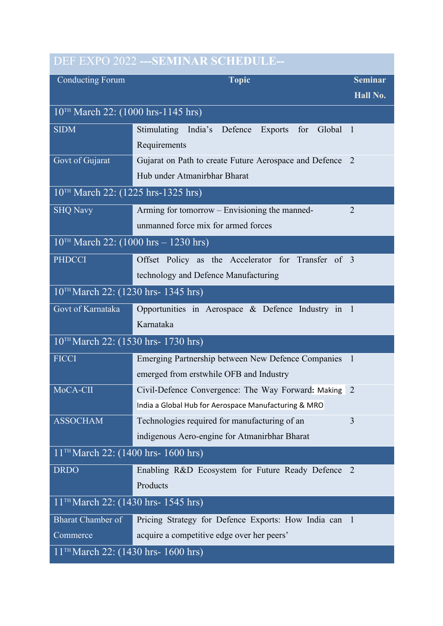|                                          | DEF EXPO 2022 --- SEMINAR SCHEDULE--                     |                |
|------------------------------------------|----------------------------------------------------------|----------------|
| <b>Conducting Forum</b>                  | <b>Topic</b>                                             | <b>Seminar</b> |
|                                          |                                                          | Hall No.       |
| $10^{TH}$ March 22: (1000 hrs-1145 hrs)  |                                                          |                |
| <b>SIDM</b>                              | Stimulating India's Defence Exports for<br>Global 1      |                |
|                                          | Requirements                                             |                |
| Govt of Gujarat                          | Gujarat on Path to create Future Aerospace and Defence 2 |                |
|                                          | Hub under Atmanirbhar Bharat                             |                |
| $10TH$ March 22: (1225 hrs-1325 hrs)     |                                                          |                |
| <b>SHQ Navy</b>                          | Arming for tomorrow – Envisioning the manned-            | $\overline{2}$ |
|                                          | unmanned force mix for armed forces                      |                |
| $10TH$ March 22: (1000 hrs – 1230 hrs)   |                                                          |                |
| <b>PHDCCI</b>                            | Offset Policy as the Accelerator for Transfer of 3       |                |
|                                          | technology and Defence Manufacturing                     |                |
| $10^{TH}$ March 22: (1230 hrs- 1345 hrs) |                                                          |                |
| Govt of Karnataka                        | Opportunities in Aerospace & Defence Industry in 1       |                |
|                                          | Karnataka                                                |                |
| 10TH March 22: (1530 hrs- 1730 hrs)      |                                                          |                |
| <b>FICCI</b>                             | Emerging Partnership between New Defence Companies 1     |                |
|                                          | emerged from erstwhile OFB and Industry                  |                |
| MoCA-CII                                 | Civil-Defence Convergence: The Way Forward: Making       | 2              |
|                                          | India a Global Hub for Aerospace Manufacturing & MRO     |                |
| <b>ASSOCHAM</b>                          | Technologies required for manufacturing of an            | 3              |
|                                          | indigenous Aero-engine for Atmanirbhar Bharat            |                |
| $11TH$ March 22: (1400 hrs- 1600 hrs)    |                                                          |                |
| <b>DRDO</b>                              | Enabling R&D Ecosystem for Future Ready Defence          | 2              |
|                                          | Products                                                 |                |
| $11^{TH}$ March 22: (1430 hrs- 1545 hrs) |                                                          |                |
| <b>Bharat Chamber of</b>                 | Pricing Strategy for Defence Exports: How India can 1    |                |
| Commerce                                 | acquire a competitive edge over her peers'               |                |
| $11TH$ March 22: (1430 hrs- 1600 hrs)    |                                                          |                |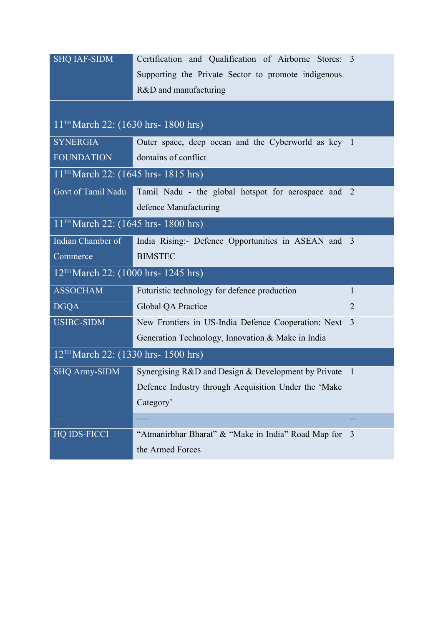| <b>SHQ IAF-SIDM</b>                   | Certification and Qualification of Airborne Stores: 3<br>Supporting the Private Sector to promote indigenous<br>R&D and manufacturing |                |
|---------------------------------------|---------------------------------------------------------------------------------------------------------------------------------------|----------------|
| $11TH$ March 22: (1630 hrs- 1800 hrs) |                                                                                                                                       |                |
| <b>SYNERGIA</b><br><b>FOUNDATION</b>  | Outer space, deep ocean and the Cyberworld as key 1<br>domains of conflict                                                            |                |
| $11TH March 22: (1645 hrs-1815 hrs)$  |                                                                                                                                       |                |
| Govt of Tamil Nadu                    | Tamil Nadu - the global hotspot for aerospace and 2<br>defence Manufacturing                                                          |                |
| $11TH$ March 22: (1645 hrs- 1800 hrs) |                                                                                                                                       |                |
| Indian Chamber of                     | India Rising:- Defence Opportunities in ASEAN and 3                                                                                   |                |
| Commerce                              | <b>BIMSTEC</b>                                                                                                                        |                |
| $12TH$ March 22: (1000 hrs- 1245 hrs) |                                                                                                                                       |                |
| <b>ASSOCHAM</b>                       | Futuristic technology for defence production                                                                                          | 1              |
| <b>DGQA</b>                           | Global QA Practice                                                                                                                    | $\overline{2}$ |
| <b>USIBC-SIDM</b>                     | New Frontiers in US-India Defence Cooperation: Next 3<br>Generation Technology, Innovation & Make in India                            |                |
| $12TH$ March 22: (1330 hrs- 1500 hrs) |                                                                                                                                       |                |
| <b>SHQ Army-SIDM</b>                  | Synergising R&D and Design & Development by Private 1<br>Defence Industry through Acquisition Under the 'Make<br>Category'            |                |
|                                       |                                                                                                                                       |                |
| <b>HQ IDS-FICCI</b>                   | "Atmanirbhar Bharat" & "Make in India" Road Map for<br>the Armed Forces                                                               | $\overline{3}$ |